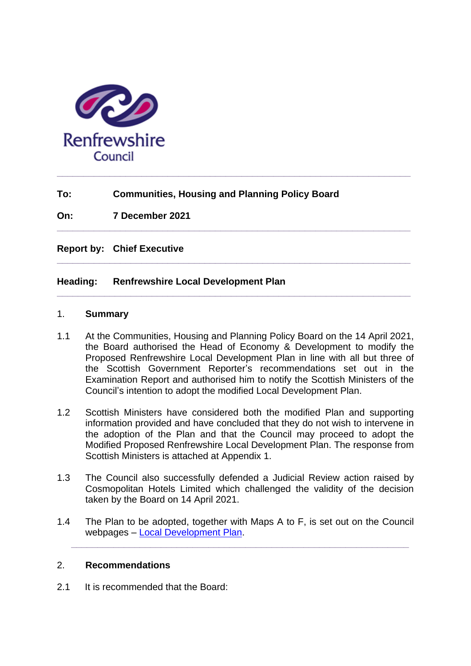

# **To: Communities, Housing and Planning Policy Board**

**\_\_\_\_\_\_\_\_\_\_\_\_\_\_\_\_\_\_\_\_\_\_\_\_\_\_\_\_\_\_\_\_\_\_\_\_\_\_\_\_\_\_\_\_\_\_\_\_\_\_\_\_\_\_\_\_\_\_\_\_\_\_\_\_\_\_\_**

**\_\_\_\_\_\_\_\_\_\_\_\_\_\_\_\_\_\_\_\_\_\_\_\_\_\_\_\_\_\_\_\_\_\_\_\_\_\_\_\_\_\_\_\_\_\_\_\_\_\_\_\_\_\_\_\_\_\_\_\_\_\_\_\_\_\_\_**

**\_\_\_\_\_\_\_\_\_\_\_\_\_\_\_\_\_\_\_\_\_\_\_\_\_\_\_\_\_\_\_\_\_\_\_\_\_\_\_\_\_\_\_\_\_\_\_\_\_\_\_\_\_\_\_\_\_\_\_\_\_\_\_\_\_\_\_**

**\_\_\_\_\_\_\_\_\_\_\_\_\_\_\_\_\_\_\_\_\_\_\_\_\_\_\_\_\_\_\_\_\_\_\_\_\_\_\_\_\_\_\_\_\_\_\_\_\_\_\_\_\_\_\_\_\_\_\_\_\_\_\_\_\_\_\_**

**On: 7 December 2021**

**Report by: Chief Executive** 

### **Heading: Renfrewshire Local Development Plan**

#### 1. **Summary**

- 1.1 At the Communities, Housing and Planning Policy Board on the 14 April 2021, the Board authorised the Head of Economy & Development to modify the Proposed Renfrewshire Local Development Plan in line with all but three of the Scottish Government Reporter's recommendations set out in the Examination Report and authorised him to notify the Scottish Ministers of the Council's intention to adopt the modified Local Development Plan.
- 1.2 Scottish Ministers have considered both the modified Plan and supporting information provided and have concluded that they do not wish to intervene in the adoption of the Plan and that the Council may proceed to adopt the Modified Proposed Renfrewshire Local Development Plan. The response from Scottish Ministers is attached at Appendix 1.
- 1.3 The Council also successfully defended a Judicial Review action raised by Cosmopolitan Hotels Limited which challenged the validity of the decision taken by the Board on 14 April 2021.
- 1.4 The Plan to be adopted, together with Maps A to F, is set out on the Council webpages – [Local Development Plan.](https://www.renfrewshire.gov.uk/article/3070/Preparation-of-the-next-Local-Development-Plan)

**\_\_\_\_\_\_\_\_\_\_\_\_\_\_\_\_\_\_\_\_\_\_\_\_\_\_\_\_\_\_\_\_\_\_\_\_\_\_\_\_\_\_\_\_\_\_\_\_\_\_\_\_\_\_\_\_\_\_\_\_\_\_\_\_**

### 2. **Recommendations**

2.1 It is recommended that the Board: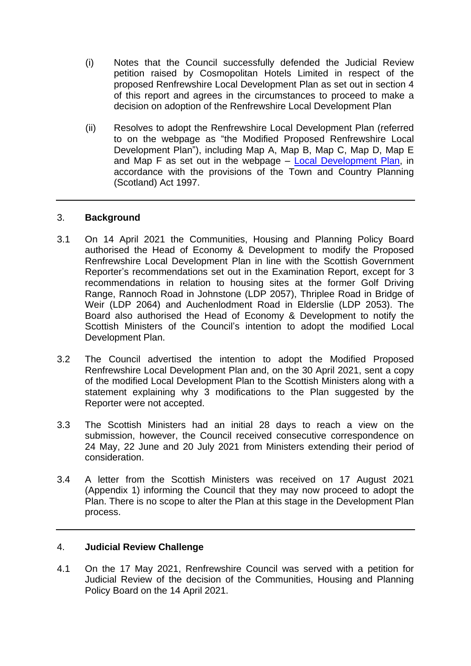- (i) Notes that the Council successfully defended the Judicial Review petition raised by Cosmopolitan Hotels Limited in respect of the proposed Renfrewshire Local Development Plan as set out in section 4 of this report and agrees in the circumstances to proceed to make a decision on adoption of the Renfrewshire Local Development Plan
- (ii) Resolves to adopt the Renfrewshire Local Development Plan (referred to on the webpage as "the Modified Proposed Renfrewshire Local Development Plan"), including Map A, Map B, Map C, Map D, Map E and Map F as set out in the webpage – [Local Development Plan,](https://www.renfrewshire.gov.uk/article/3070/Preparation-of-the-next-Local-Development-Plan) in accordance with the provisions of the Town and Country Planning (Scotland) Act 1997.

### 3. **Background**

- 3.1 On 14 April 2021 the Communities, Housing and Planning Policy Board authorised the Head of Economy & Development to modify the Proposed Renfrewshire Local Development Plan in line with the Scottish Government Reporter's recommendations set out in the Examination Report, except for 3 recommendations in relation to housing sites at the former Golf Driving Range, Rannoch Road in Johnstone (LDP 2057), Thriplee Road in Bridge of Weir (LDP 2064) and Auchenlodment Road in Elderslie (LDP 2053). The Board also authorised the Head of Economy & Development to notify the Scottish Ministers of the Council's intention to adopt the modified Local Development Plan.
- 3.2 The Council advertised the intention to adopt the Modified Proposed Renfrewshire Local Development Plan and, on the 30 April 2021, sent a copy of the modified Local Development Plan to the Scottish Ministers along with a statement explaining why 3 modifications to the Plan suggested by the Reporter were not accepted.
- 3.3 The Scottish Ministers had an initial 28 days to reach a view on the submission, however, the Council received consecutive correspondence on 24 May, 22 June and 20 July 2021 from Ministers extending their period of consideration.
- 3.4 A letter from the Scottish Ministers was received on 17 August 2021 (Appendix 1) informing the Council that they may now proceed to adopt the Plan. There is no scope to alter the Plan at this stage in the Development Plan process.

### 4. **Judicial Review Challenge**

4.1 On the 17 May 2021, Renfrewshire Council was served with a petition for Judicial Review of the decision of the Communities, Housing and Planning Policy Board on the 14 April 2021.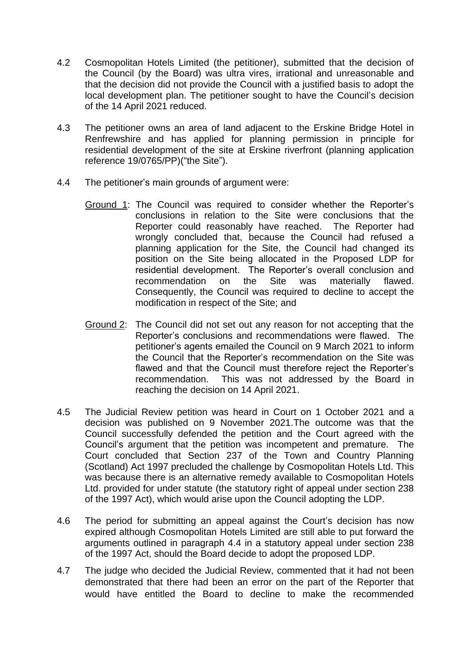- 4.2 Cosmopolitan Hotels Limited (the petitioner), submitted that the decision of the Council (by the Board) was ultra vires, irrational and unreasonable and that the decision did not provide the Council with a justified basis to adopt the local development plan. The petitioner sought to have the Council's decision of the 14 April 2021 reduced.
- 4.3 The petitioner owns an area of land adjacent to the Erskine Bridge Hotel in Renfrewshire and has applied for planning permission in principle for residential development of the site at Erskine riverfront (planning application reference 19/0765/PP)("the Site").
- 4.4 The petitioner's main grounds of argument were:
	- Ground 1: The Council was required to consider whether the Reporter's conclusions in relation to the Site were conclusions that the Reporter could reasonably have reached. The Reporter had wrongly concluded that, because the Council had refused a planning application for the Site, the Council had changed its position on the Site being allocated in the Proposed LDP for residential development. The Reporter's overall conclusion and recommendation on the Site was materially flawed. Consequently, the Council was required to decline to accept the modification in respect of the Site; and
	- Ground 2: The Council did not set out any reason for not accepting that the Reporter's conclusions and recommendations were flawed. The petitioner's agents emailed the Council on 9 March 2021 to inform the Council that the Reporter's recommendation on the Site was flawed and that the Council must therefore reject the Reporter's recommendation. This was not addressed by the Board in reaching the decision on 14 April 2021.
- 4.5 The Judicial Review petition was heard in Court on 1 October 2021 and a decision was published on 9 November 2021.The outcome was that the Council successfully defended the petition and the Court agreed with the Council's argument that the petition was incompetent and premature. The Court concluded that Section 237 of the Town and Country Planning (Scotland) Act 1997 precluded the challenge by Cosmopolitan Hotels Ltd. This was because there is an alternative remedy available to Cosmopolitan Hotels Ltd. provided for under statute (the statutory right of appeal under section 238 of the 1997 Act), which would arise upon the Council adopting the LDP.
- 4.6 The period for submitting an appeal against the Court's decision has now expired although Cosmopolitan Hotels Limited are still able to put forward the arguments outlined in paragraph 4.4 in a statutory appeal under section 238 of the 1997 Act, should the Board decide to adopt the proposed LDP.
- 4.7 The judge who decided the Judicial Review, commented that it had not been demonstrated that there had been an error on the part of the Reporter that would have entitled the Board to decline to make the recommended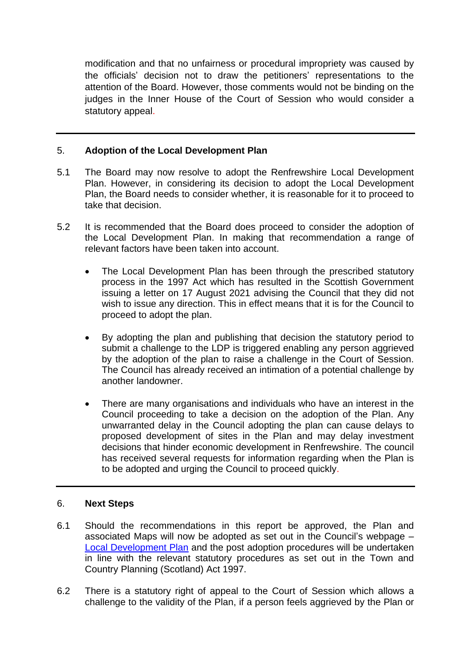modification and that no unfairness or procedural impropriety was caused by the officials' decision not to draw the petitioners' representations to the attention of the Board. However, those comments would not be binding on the judges in the Inner House of the Court of Session who would consider a statutory appeal.

### 5. **Adoption of the Local Development Plan**

- 5.1 The Board may now resolve to adopt the Renfrewshire Local Development Plan. However, in considering its decision to adopt the Local Development Plan, the Board needs to consider whether, it is reasonable for it to proceed to take that decision.
- 5.2 It is recommended that the Board does proceed to consider the adoption of the Local Development Plan. In making that recommendation a range of relevant factors have been taken into account.
	- The Local Development Plan has been through the prescribed statutory process in the 1997 Act which has resulted in the Scottish Government issuing a letter on 17 August 2021 advising the Council that they did not wish to issue any direction. This in effect means that it is for the Council to proceed to adopt the plan.
	- By adopting the plan and publishing that decision the statutory period to submit a challenge to the LDP is triggered enabling any person aggrieved by the adoption of the plan to raise a challenge in the Court of Session. The Council has already received an intimation of a potential challenge by another landowner.
	- There are many organisations and individuals who have an interest in the Council proceeding to take a decision on the adoption of the Plan. Any unwarranted delay in the Council adopting the plan can cause delays to proposed development of sites in the Plan and may delay investment decisions that hinder economic development in Renfrewshire. The council has received several requests for information regarding when the Plan is to be adopted and urging the Council to proceed quickly.

#### 6. **Next Steps**

- 6.1 Should the recommendations in this report be approved, the Plan and associated Maps will now be adopted as set out in the Council's webpage – [Local Development Plan](https://www.renfrewshire.gov.uk/article/3070/Preparation-of-the-next-Local-Development-Plan) and the post adoption procedures will be undertaken in line with the relevant statutory procedures as set out in the Town and Country Planning (Scotland) Act 1997.
- 6.2 There is a statutory right of appeal to the Court of Session which allows a challenge to the validity of the Plan, if a person feels aggrieved by the Plan or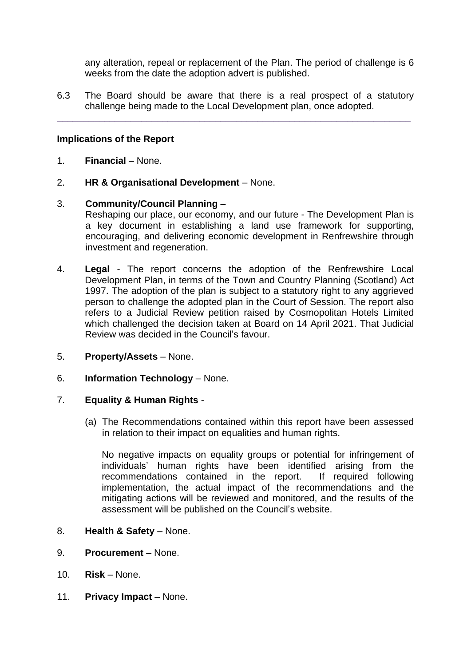any alteration, repeal or replacement of the Plan. The period of challenge is 6 weeks from the date the adoption advert is published.

6.3 The Board should be aware that there is a real prospect of a statutory challenge being made to the Local Development plan, once adopted.

**\_\_\_\_\_\_\_\_\_\_\_\_\_\_\_\_\_\_\_\_\_\_\_\_\_\_\_\_\_\_\_\_\_\_\_\_\_\_\_\_\_\_\_\_\_\_\_\_\_\_\_\_\_\_\_\_\_\_\_\_\_\_\_\_\_\_\_**

# **Implications of the Report**

- 1. **Financial** None.
- 2. **HR & Organisational Development** None.

### 3. **Community/Council Planning –**

Reshaping our place, our economy, and our future - The Development Plan is a key document in establishing a land use framework for supporting, encouraging, and delivering economic development in Renfrewshire through investment and regeneration.

- 4. **Legal** The report concerns the adoption of the Renfrewshire Local Development Plan, in terms of the Town and Country Planning (Scotland) Act 1997. The adoption of the plan is subject to a statutory right to any aggrieved person to challenge the adopted plan in the Court of Session. The report also refers to a Judicial Review petition raised by Cosmopolitan Hotels Limited which challenged the decision taken at Board on 14 April 2021. That Judicial Review was decided in the Council's favour.
- 5. **Property/Assets** None.
- 6. **Information Technology** None.

### 7. **Equality & Human Rights** -

(a) The Recommendations contained within this report have been assessed in relation to their impact on equalities and human rights.

No negative impacts on equality groups or potential for infringement of individuals' human rights have been identified arising from the recommendations contained in the report. If required following implementation, the actual impact of the recommendations and the mitigating actions will be reviewed and monitored, and the results of the assessment will be published on the Council's website.

- 8. **Health & Safety** None.
- 9. **Procurement** None.
- 10. **Risk** None.
- 11. **Privacy Impact** None.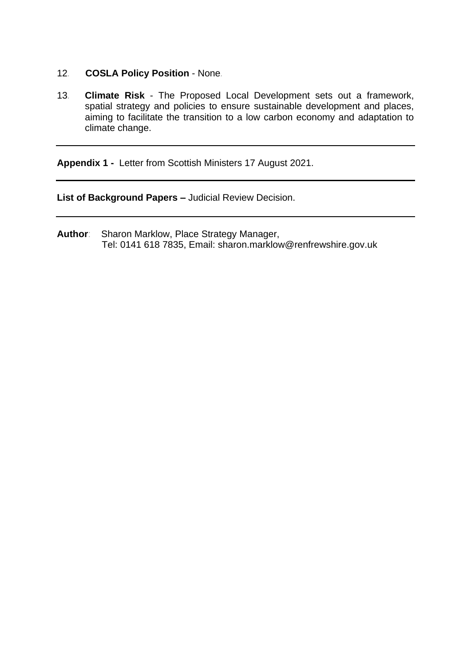- 12*.* **COSLA Policy Position** None*.*
- 13*.* **Climate Risk** The Proposed Local Development sets out a framework, spatial strategy and policies to ensure sustainable development and places, aiming to facilitate the transition to a low carbon economy and adaptation to climate change.

**Appendix 1 -** Letter from Scottish Ministers 17 August 2021.

**List of Background Papers –** Judicial Review Decision.

**Author**: Sharon Marklow, Place Strategy Manager, Tel: 0141 618 7835, Email: sharon.marklow@renfrewshire.gov.uk